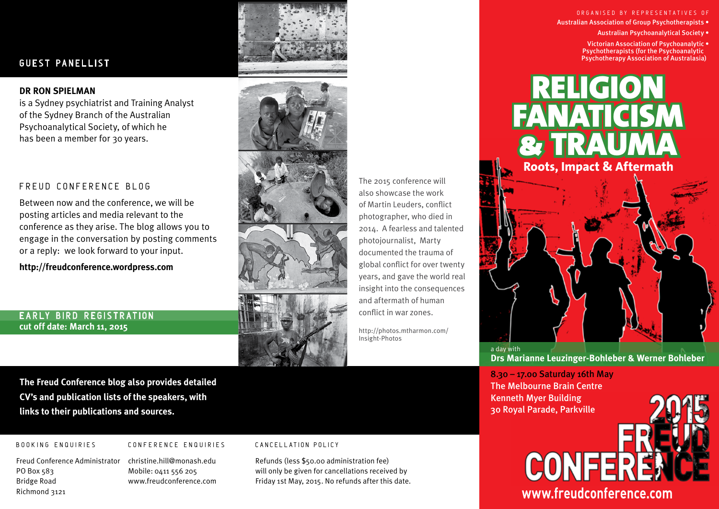## **GUEST PANELLIST**

#### **DR RON SPIELMAN**

is a Sydney psychiatrist and Training Analyst of the Sydney Branch of the Australian Psychoanalytical Society, of which he has been a member for 30 years.

### FREUD CONFERENCE BLOG

Between now and the conference, we will be posting articles and media relevant to the conference as they arise. The blog allows you to engage in the conversation by posting comments or a reply: we look forward to your input.

**http://freudconference.wordpress.com**

## EARLY BIRD REGISTRATION **cut off date: March 11, 2015**







The 2015 conference will also showcase the work of Martin Leuders, conflict photographer, who died in 2014. A fearless and talented photojournalist, Marty documented the trauma of global conflict for over twenty years, and gave the world real insight into the consequences and aftermath of human conflict in war zones.

http://photos.mtharmon.com/ Insight-Photos

ORGANISED BY REPRESENTATIVES OF Australian Association of Group Psychotherapists •

Australian Psychoanalytical Society •

Psychotherapy Association of Australasia) Victorian Association of Psychoanalytic • Psychotherapists (for the Psychoanalytic



**Drs Marianne Leuzinger-Bohleber & Werner Bohleber**

8.30 – 17.00 Saturday 16th May The Melbourne Brain Centre Kenneth Myer Building 30 Royal Parade, Parkville



**The Freud Conference blog also provides detailed CV's and publication lists of the speakers, with links to their publications and sources.**

 Richmond 3121

### **BOOKING ENQUIRIES CONFERENCE ENQUIRIES CANCELLATION POLICY**

 Cover montage by Damien Pierce

Freud Conference Administrator christine.hill@monash.edu Refunds (less \$50.00 administration fee) PO Box 583 Mobile: 0411 556 205 will only be given for cancellations received by Bridge Road **www.freudconference.com** Friday 1st May, 2015. No refunds after this date.